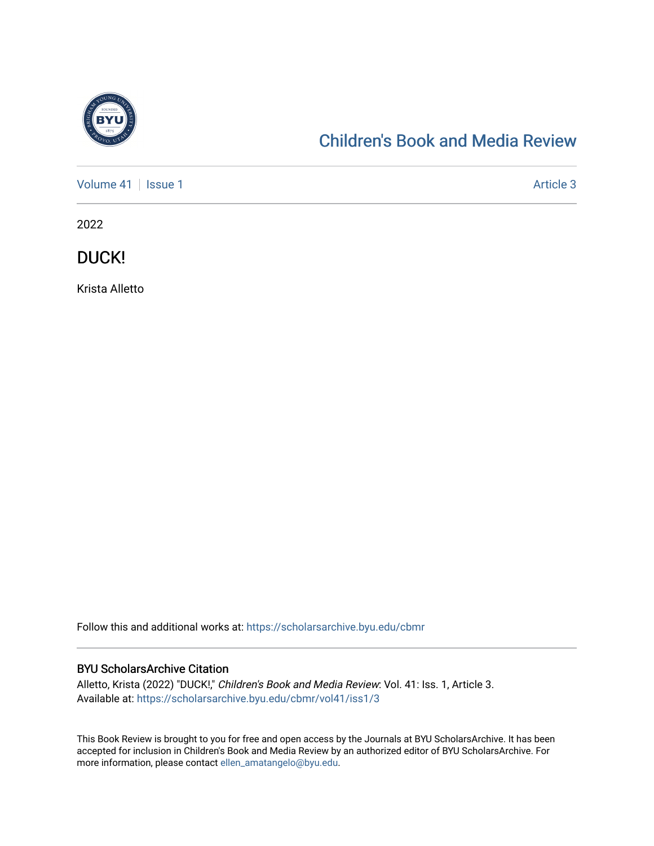

# [Children's Book and Media Review](https://scholarsarchive.byu.edu/cbmr)

[Volume 41](https://scholarsarchive.byu.edu/cbmr/vol41) | [Issue 1](https://scholarsarchive.byu.edu/cbmr/vol41/iss1) Article 3

2022

DUCK!

Krista Alletto

Follow this and additional works at: [https://scholarsarchive.byu.edu/cbmr](https://scholarsarchive.byu.edu/cbmr?utm_source=scholarsarchive.byu.edu%2Fcbmr%2Fvol41%2Fiss1%2F3&utm_medium=PDF&utm_campaign=PDFCoverPages) 

#### BYU ScholarsArchive Citation

Alletto, Krista (2022) "DUCK!," Children's Book and Media Review: Vol. 41: Iss. 1, Article 3. Available at: [https://scholarsarchive.byu.edu/cbmr/vol41/iss1/3](https://scholarsarchive.byu.edu/cbmr/vol41/iss1/3?utm_source=scholarsarchive.byu.edu%2Fcbmr%2Fvol41%2Fiss1%2F3&utm_medium=PDF&utm_campaign=PDFCoverPages) 

This Book Review is brought to you for free and open access by the Journals at BYU ScholarsArchive. It has been accepted for inclusion in Children's Book and Media Review by an authorized editor of BYU ScholarsArchive. For more information, please contact [ellen\\_amatangelo@byu.edu.](mailto:ellen_amatangelo@byu.edu)